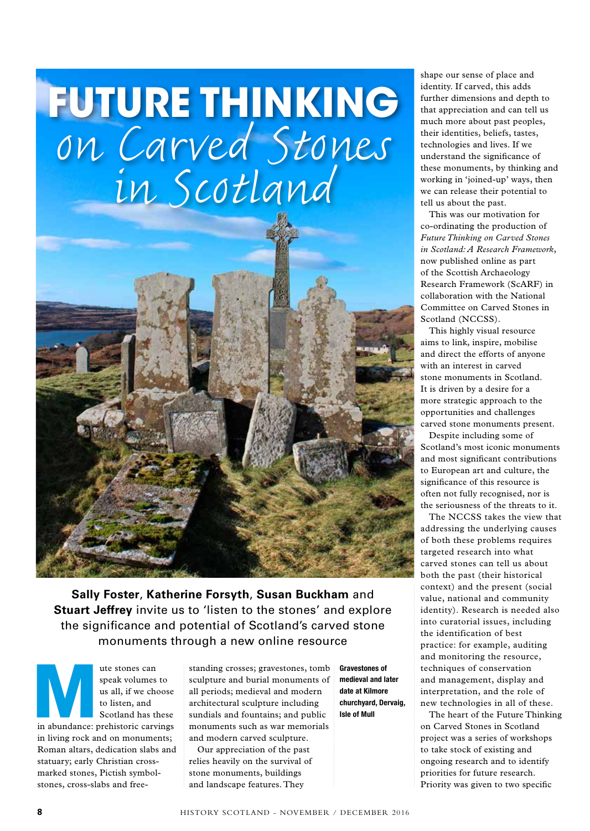## **FUTURE THINKING** on Carved Stones in Scotland



**Sally Foster**, **Katherine Forsyth**, **Susan Buckham** and **Stuart Jeffrey** invite us to 'listen to the stones' and explore the significance and potential of Scotland's carved stone monuments through a new online resource

**Mute stones can**<br>
speak volumes to<br>
us all, if we choose<br>
to listen, and<br>
Scotland has these<br>
in abundance: prehistoric carvings speak volumes to us all, if we choose to listen, and Scotland has these in living rock and on monuments; Roman altars, dedication slabs and statuary; early Christian crossmarked stones, Pictish symbolstones, cross-slabs and free-

standing crosses; gravestones, tomb sculpture and burial monuments of all periods; medieval and modern architectural sculpture including sundials and fountains; and public monuments such as war memorials and modern carved sculpture.

Our appreciation of the past relies heavily on the survival of stone monuments, buildings and landscape features. They

Gravestones of medieval and later date at Kilmore churchyard, Dervaig, Isle of Mull

shape our sense of place and identity. If carved, this adds further dimensions and depth to that appreciation and can tell us much more about past peoples, their identities, beliefs, tastes, technologies and lives. If we understand the significance of these monuments, by thinking and working in 'joined-up' ways, then we can release their potential to tell us about the past.

This was our motivation for co-ordinating the production of *Future Thinking on Carved Stones in Scotland: A Research Framework*, now published online as part of the Scottish Archaeology Research Framework (ScARF) in collaboration with the National Committee on Carved Stones in Scotland (NCCSS).

This highly visual resource aims to link, inspire, mobilise and direct the efforts of anyone with an interest in carved stone monuments in Scotland. It is driven by a desire for a more strategic approach to the opportunities and challenges carved stone monuments present.

Despite including some of Scotland's most iconic monuments and most significant contributions to European art and culture, the significance of this resource is often not fully recognised, nor is the seriousness of the threats to it.

The NCCSS takes the view that addressing the underlying causes of both these problems requires targeted research into what carved stones can tell us about both the past (their historical context) and the present (social value, national and community identity). Research is needed also into curatorial issues, including the identification of best practice: for example, auditing and monitoring the resource, techniques of conservation and management, display and interpretation, and the role of new technologies in all of these.

The heart of the Future Thinking on Carved Stones in Scotland project was a series of workshops to take stock of existing and ongoing research and to identify priorities for future research. Priority was given to two specific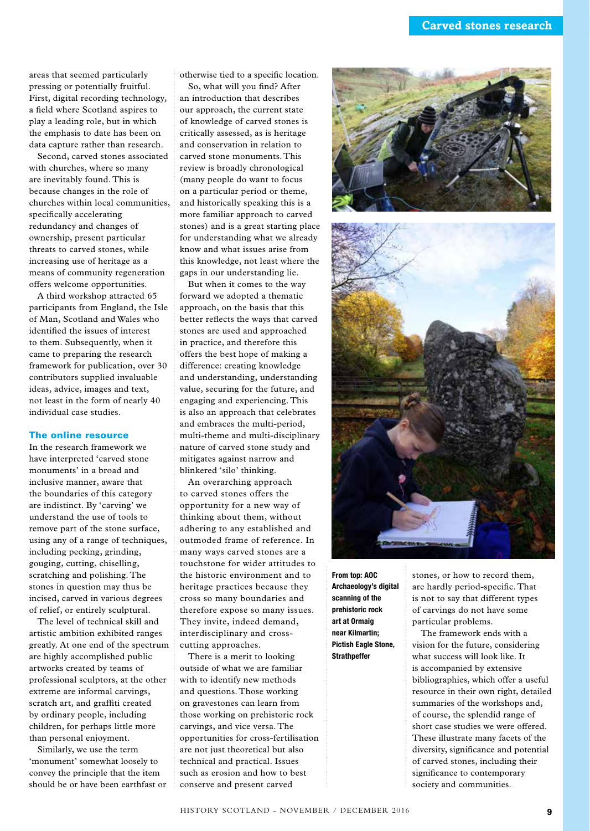areas that seemed particularly pressing or potentially fruitful. First, digital recording technology, a field where Scotland aspires to play a leading role, but in which the emphasis to date has been on data capture rather than research.

Second, carved stones associated with churches, where so many are inevitably found. This is because changes in the role of churches within local communities, specifically accelerating redundancy and changes of ownership, present particular threats to carved stones, while increasing use of heritage as a means of community regeneration offers welcome opportunities.

A third workshop attracted 65 participants from England, the Isle of Man, Scotland and Wales who identified the issues of interest to them. Subsequently, when it came to preparing the research framework for publication, over 30 contributors supplied invaluable ideas, advice, images and text, not least in the form of nearly 40 individual case studies.

## The online resource

In the research framework we have interpreted 'carved stone monuments' in a broad and inclusive manner, aware that the boundaries of this category are indistinct. By 'carving' we understand the use of tools to remove part of the stone surface, using any of a range of techniques, including pecking, grinding, gouging, cutting, chiselling, scratching and polishing. The stones in question may thus be incised, carved in various degrees of relief, or entirely sculptural.

The level of technical skill and artistic ambition exhibited ranges greatly. At one end of the spectrum are highly accomplished public artworks created by teams of professional sculptors, at the other extreme are informal carvings, scratch art, and graffiti created by ordinary people, including children, for perhaps little more than personal enjoyment.

Similarly, we use the term 'monument' somewhat loosely to convey the principle that the item should be or have been earthfast or otherwise tied to a specific location.

So, what will you find? After an introduction that describes our approach, the current state of knowledge of carved stones is critically assessed, as is heritage and conservation in relation to carved stone monuments. This review is broadly chronological (many people do want to focus on a particular period or theme, and historically speaking this is a more familiar approach to carved stones) and is a great starting place for understanding what we already know and what issues arise from this knowledge, not least where the gaps in our understanding lie.

But when it comes to the way forward we adopted a thematic approach, on the basis that this better reflects the ways that carved stones are used and approached in practice, and therefore this offers the best hope of making a difference: creating knowledge and understanding, understanding value, securing for the future, and engaging and experiencing. This is also an approach that celebrates and embraces the multi-period, multi-theme and multi-disciplinary nature of carved stone study and mitigates against narrow and blinkered 'silo' thinking.

An overarching approach to carved stones offers the opportunity for a new way of thinking about them, without adhering to any established and outmoded frame of reference. In many ways carved stones are a touchstone for wider attitudes to the historic environment and to heritage practices because they cross so many boundaries and therefore expose so many issues. They invite, indeed demand, interdisciplinary and crosscutting approaches.

There is a merit to looking outside of what we are familiar with to identify new methods and questions. Those working on gravestones can learn from those working on prehistoric rock carvings, and vice versa. The opportunities for cross-fertilisation are not just theoretical but also technical and practical. Issues such as erosion and how to best conserve and present carved





From top: AOC Archaeology's digital scanning of the prehistoric rock art at Ormaig near Kilmartin; Pictish Eagle Stone, **Strathpeffer** 

stones, or how to record them, are hardly period-specific. That is not to say that different types of carvings do not have some particular problems.

The framework ends with a vision for the future, considering what success will look like. It is accompanied by extensive bibliographies, which offer a useful resource in their own right, detailed summaries of the workshops and, of course, the splendid range of short case studies we were offered. These illustrate many facets of the diversity, significance and potential of carved stones, including their significance to contemporary society and communities.